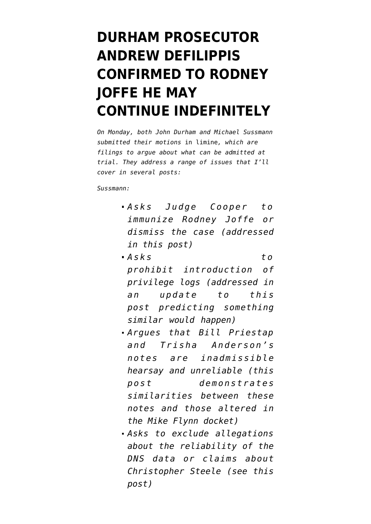## **[DURHAM PROSECUTOR](https://www.emptywheel.net/2022/04/04/andrew-defilippis-confirmed-to-rodney-joffe-he-may-continue-indefinitely/) [ANDREW DEFILIPPIS](https://www.emptywheel.net/2022/04/04/andrew-defilippis-confirmed-to-rodney-joffe-he-may-continue-indefinitely/) [CONFIRMED TO RODNEY](https://www.emptywheel.net/2022/04/04/andrew-defilippis-confirmed-to-rodney-joffe-he-may-continue-indefinitely/) [JOFFE HE MAY](https://www.emptywheel.net/2022/04/04/andrew-defilippis-confirmed-to-rodney-joffe-he-may-continue-indefinitely/) [CONTINUE INDEFINITELY](https://www.emptywheel.net/2022/04/04/andrew-defilippis-confirmed-to-rodney-joffe-he-may-continue-indefinitely/)**

*On Monday, both John Durham and Michael Sussmann submitted their motions* in limine*, which are filings to argue about what can be admitted at trial. They address a range of issues that I'll cover in several posts:*

*Sussmann:*

- **Asks** Judge Cooper to *[immunize Rodney Joffe](https://www.documentcloud.org/documents/21575162-220404-sussmann-motion-to-dismiss) or dismiss the case (addressed in [this post](https://www.emptywheel.net/2022/04/04/andrew-defilippis-confirmed-to-rodney-joffe-he-may-continue-indefinitely/))*
- *[Asks to](https://www.documentcloud.org/documents/21575264-220404-motion-in-limine-privilege) [prohibit](https://www.documentcloud.org/documents/21575264-220404-motion-in-limine-privilege) introduction of privilege logs (addressed in an update to [this](https://www.emptywheel.net/2022/05/01/michael-sussmanns-lawyers-complain-of-wildly-untimely-notices-from-durham/) [post](https://www.emptywheel.net/2022/05/01/michael-sussmanns-lawyers-complain-of-wildly-untimely-notices-from-durham/) predicting something similar would happen)*
- *Argues that Bill Priestap and Trisha Anderson's notes [are inadmissible](https://storage.courtlistener.com/recap/gov.uscourts.dcd.235638/gov.uscourts.dcd.235638.58.0_2.pdf) [hearsay](https://storage.courtlistener.com/recap/gov.uscourts.dcd.235638/gov.uscourts.dcd.235638.58.0_2.pdf) and unreliable [\(this](https://www.emptywheel.net/2022/04/05/john-durham-is-hiding-evidence-of-altered-notes/) [post](https://www.emptywheel.net/2022/04/05/john-durham-is-hiding-evidence-of-altered-notes/) demonstrates similarities between these notes and those altered in the Mike Flynn docket)*
- *Asks [to exclude allegations](https://storage.courtlistener.com/recap/gov.uscourts.dcd.235638/gov.uscourts.dcd.235638.60.0_1.pdf) about the reliability of the DNS data or claims about Christopher Steele (see [this](https://www.emptywheel.net/2022/04/06/tunnel-vision-durham-treats-citizens-research-into-real-paul-manafort-crimes-like-a-criminal-conspiracy/) [post](https://www.emptywheel.net/2022/04/06/tunnel-vision-durham-treats-citizens-research-into-real-paul-manafort-crimes-like-a-criminal-conspiracy/))*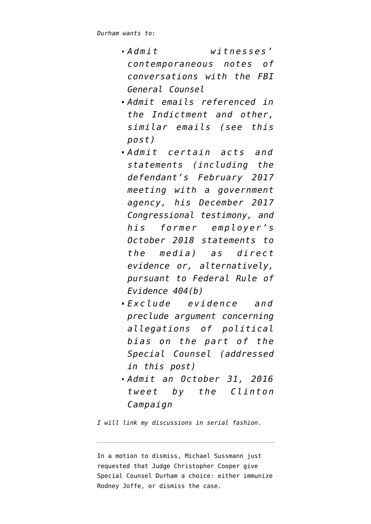*Durham [wants to:](https://storage.courtlistener.com/recap/gov.uscourts.dcd.235638/gov.uscourts.dcd.235638.61.0_1.pdf)*

- *Admit witnesses' contemporaneous notes of conversations with the FBI General Counsel*
- *Admit emails referenced in the Indictment and other, similar emails (see [this](https://www.emptywheel.net/2022/04/06/tunnel-vision-durham-treats-citizens-research-into-real-paul-manafort-crimes-like-a-criminal-conspiracy/) [post](https://www.emptywheel.net/2022/04/06/tunnel-vision-durham-treats-citizens-research-into-real-paul-manafort-crimes-like-a-criminal-conspiracy/))*
- *Admit certain acts and statements (including the defendant's February 2017 meeting with a government agency, his December 2017 Congressional testimony, and his former employer's October 2018 statements to the media) as direct evidence or, alternatively, pursuant to Federal Rule of Evidence 404(b)*
- *Exclude evidence and preclude argument concerning allegations of political bias on the part of the Special Counsel ([addressed](https://www.emptywheel.net/2022/04/05/the-guy-investigating-the-hiring-of-a-special-counsel-insists-that-the-hiring-of-a-special-counsel-cannot-be-political/) [in this post](https://www.emptywheel.net/2022/04/05/the-guy-investigating-the-hiring-of-a-special-counsel-insists-that-the-hiring-of-a-special-counsel-cannot-be-political/))*
- *Admit an October 31, 2016 tweet by the Clinton Campaign*

*I will link my discussions in serial fashion.*

In a [motion to dismiss](https://www.documentcloud.org/documents/21575162-220404-sussmann-motion-to-dismiss), Michael Sussmann just requested that Judge Christopher Cooper give Special Counsel Durham a choice: either immunize Rodney Joffe, or dismiss the case.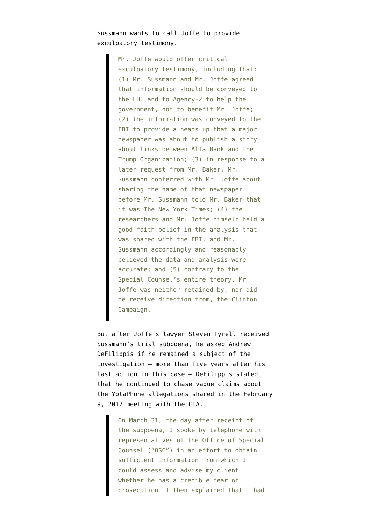Sussmann wants to call Joffe to provide exculpatory testimony.

> Mr. Joffe would offer critical exculpatory testimony, including that: (1) Mr. Sussmann and Mr. Joffe agreed that information should be conveyed to the FBI and to Agency-2 to help the government, not to benefit Mr. Joffe; (2) the information was conveyed to the FBI to provide a heads up that a major newspaper was about to publish a story about links between Alfa Bank and the Trump Organization; (3) in response to a later request from Mr. Baker, Mr. Sussmann conferred with Mr. Joffe about sharing the name of that newspaper before Mr. Sussmann told Mr. Baker that it was The New York Times; (4) the researchers and Mr. Joffe himself held a good faith belief in the analysis that was shared with the FBI, and Mr. Sussmann accordingly and reasonably believed the data and analysis were accurate; and (5) contrary to the Special Counsel's entire theory, Mr. Joffe was neither retained by, nor did he receive direction from, the Clinton Campaign.

But after Joffe's lawyer Steven Tyrell received Sussmann's trial subpoena, he [asked](https://www.documentcloud.org/documents/21575161-220401-tyrell-to-bosworth) Andrew DeFilippis if he remained a subject of the investigation — more than five years after his last action in this case — DeFilippis stated that he continued to chase vague claims about the YotaPhone allegations shared in the February 9, 2017 meeting with the CIA.

> On March 31, the day after receipt of the subpoena, I spoke by telephone with representatives of the Office of Special Counsel ("OSC") in an effort to obtain sufficient information from which I could assess and advise my client whether he has a credible fear of prosecution. I then explained that I had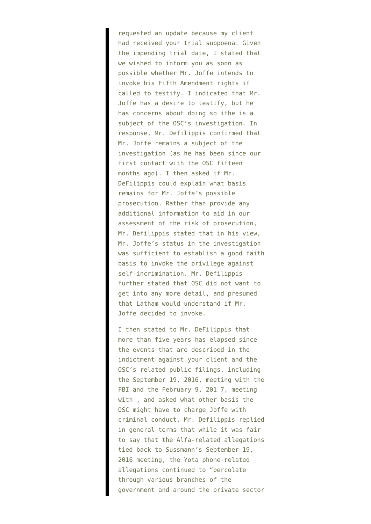requested an update because my client had received your trial subpoena. Given the impending trial date, I stated that we wished to inform you as soon as possible whether Mr. Joffe intends to invoke his Fifth Amendment rights if called to testify. I indicated that Mr. Joffe has a desire to testify, but he has concerns about doing so ifhe is a subject of the OSC's investigation. In response, Mr. Defilippis confirmed that Mr. Joffe remains a subject of the investigation (as he has been since our first contact with the OSC fifteen months ago). I then asked if Mr. DeFilippis could explain what basis remains for Mr. Joffe's possible prosecution. Rather than provide any additional information to aid in our assessment of the risk of prosecution, Mr. Defilippis stated that in his view, Mr. Joffe's status in the investigation was sufficient to establish a good faith basis to invoke the privilege against self-incrimination. Mr. Defilippis further stated that OSC did not want to get into any more detail, and presumed that Latham would understand if Mr. Joffe decided to invoke.

I then stated to Mr. DeFilippis that more than five years has elapsed since the events that are described in the indictment against your client and the OSC's related public filings, including the September 19, 2016, meeting with the FBI and the February 9, 201 7, meeting with , and asked what other basis the OSC might have to charge Joffe with criminal conduct. Mr. Defilippis replied in general terms that while it was fair to say that the Alfa-related allegations tied back to Sussmann's September 19, 2016 meeting, the Yota phone-related allegations continued to "percolate through various branches of the government and around the private sector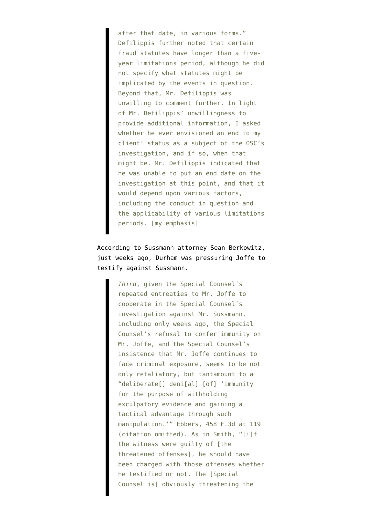after that date, in various forms." Defilippis further noted that certain fraud statutes have longer than a fiveyear limitations period, although he did not specify what statutes might be implicated by the events in question. Beyond that, Mr. Defilippis was unwilling to comment further. In light of Mr. Defilippis' unwillingness to provide additional information, I asked whether he ever envisioned an end to my client' status as a subject of the OSC's investigation, and if so, when that might be. Mr. Defilippis indicated that he was unable to put an end date on the investigation at this point, and that it would depend upon various factors, including the conduct in question and the applicability of various limitations periods. [my emphasis]

## According to Sussmann attorney Sean Berkowitz, just weeks ago, Durham was pressuring Joffe to testify against Sussmann.

*Third*, given the Special Counsel's repeated entreaties to Mr. Joffe to cooperate in the Special Counsel's investigation against Mr. Sussmann, including only weeks ago, the Special Counsel's refusal to confer immunity on Mr. Joffe, and the Special Counsel's insistence that Mr. Joffe continues to face criminal exposure, seems to be not only retaliatory, but tantamount to a "deliberate[] deni[al] [of] 'immunity for the purpose of withholding exculpatory evidence and gaining a tactical advantage through such manipulation.'" Ebbers, 458 F.3d at 119 (citation omitted). As in Smith, "[i]f the witness were guilty of [the threatened offenses], he should have been charged with those offenses whether he testified or not. The [Special Counsel is] obviously threatening the